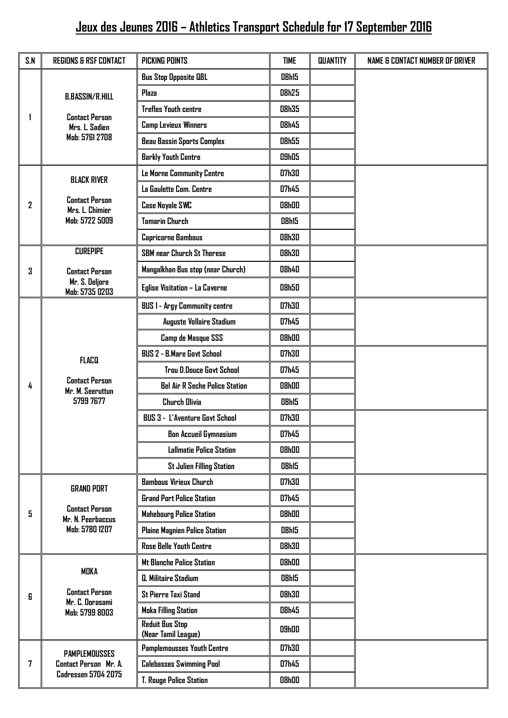## **Jeux des Jeunes 2016 – Athletics Transport Schedule for 17 September 2016**

| S.N | <b>REGIONS &amp; RSF CONTACT</b>                                                    | <b>PICKING POINTS</b>                         | <b>TIME</b>  | <b>QUANTITY</b> | NAME & CONTACT NUMBER OF DRIVER |
|-----|-------------------------------------------------------------------------------------|-----------------------------------------------|--------------|-----------------|---------------------------------|
|     | <b>B.BASSIN/R.HILL</b><br><b>Contact Person</b><br>Mrs. L. Sadien<br>Mab: 5761 2708 | <b>Bus Stop Opposite QBL</b>                  | <b>08h15</b> |                 |                                 |
|     |                                                                                     | Plaza                                         | <b>08h25</b> |                 |                                 |
|     |                                                                                     | <b>Trefles Youth centre</b>                   | <b>08h35</b> |                 |                                 |
|     |                                                                                     | Camp Levieux Winners                          | <b>08h45</b> |                 |                                 |
|     |                                                                                     | <b>Beau Bassin Sports Complex</b>             | <b>08h55</b> |                 |                                 |
|     |                                                                                     | <b>Barkly Youth Centre</b>                    | 09h05        |                 |                                 |
| 2   | <b>BLACK RIVER</b><br><b>Contact Person</b><br>Mrs. L. Chimier<br>Mob: 5722 5009    | Le Morne Community Centre                     | <b>07h30</b> |                 |                                 |
|     |                                                                                     | La Gaulette Com. Centre                       | 07h45        |                 |                                 |
|     |                                                                                     | <b>Case Noyale SWC</b>                        | <b>08h00</b> |                 |                                 |
|     |                                                                                     | <b>Tamarin Church</b>                         | <b>08h15</b> |                 |                                 |
|     |                                                                                     | Capricorne Bambous                            | <b>08h30</b> |                 |                                 |
| 3   | <b>CUREPIPE</b>                                                                     | SBM near Church St Therese                    | <b>08h30</b> |                 |                                 |
|     | <b>Contact Person</b><br>Mr. S. Deljore<br>Mob: 5735 0203                           | Mangalkhan Bus stop (near Church)             | <b>08h40</b> |                 |                                 |
|     |                                                                                     | Eglise Visitation - La Caverne                | <b>08h50</b> |                 |                                 |
|     | <b>FLACO</b><br><b>Contact Person</b><br>Mr. M. Seeruttun<br>5799 7677              | <b>BUS 1 - Argy Community centre</b>          | <b>07h30</b> |                 |                                 |
|     |                                                                                     | Auguste Vollaire Stadium                      | 07h45        |                 |                                 |
|     |                                                                                     | Camp de Masque SSS                            | <b>08h00</b> |                 |                                 |
|     |                                                                                     | BUS 2 - B.Mare Govt School                    | <b>07h30</b> |                 |                                 |
|     |                                                                                     | <b>Trou D.Douce Govt School</b>               | 07h45        |                 |                                 |
| 4   |                                                                                     | <b>Bel Air R Seche Police Station</b>         | <b>08h00</b> |                 |                                 |
|     |                                                                                     | <b>Church Olivia</b>                          | <b>08h15</b> |                 |                                 |
|     |                                                                                     | <b>BUS 3 - L'Aventure Govt School</b>         | <b>07h30</b> |                 |                                 |
|     |                                                                                     | <b>Bon Accueil Gymnasium</b>                  | 07h45        |                 |                                 |
|     |                                                                                     | <b>Lallmatie Police Station</b>               | <b>08h00</b> |                 |                                 |
|     |                                                                                     | <b>St Julien Filling Station</b>              | <b>08h15</b> |                 |                                 |
| 5   | <b>GRAND PORT</b><br><b>Contact Person</b><br>Mr. N. Peerbaccus<br>Mab: 5780 1207   | <b>Bambous Virieux Church</b>                 | 07h30        |                 |                                 |
|     |                                                                                     | <b>Grand Port Police Station</b>              | 07h45        |                 |                                 |
|     |                                                                                     | <b>Mahebourg Police Station</b>               | <b>08h00</b> |                 |                                 |
|     |                                                                                     | Plaine Magnien Police Station                 | <b>08h15</b> |                 |                                 |
|     |                                                                                     | <b>Rose Belle Youth Centre</b>                | <b>08h30</b> |                 |                                 |
| 6   | <b>MOKA</b><br><b>Contact Person</b><br>Mr. C. Dorasami<br>Mob: 5799 8003           | <b>Mt Blanche Police Station</b>              | 08h00        |                 |                                 |
|     |                                                                                     | Q. Militaire Stadium                          | <b>08h15</b> |                 |                                 |
|     |                                                                                     | <b>St Pierre Taxi Stand</b>                   | 08h30        |                 |                                 |
|     |                                                                                     | <b>Moka Filling Station</b>                   | <b>08h45</b> |                 |                                 |
|     |                                                                                     | <b>Reduit Bus Stop</b><br>(Near Tamil League) | <b>09h00</b> |                 |                                 |
| 7   | <b>PAMPLEMOUSSES</b><br>Contact Person Mr. A.<br><b>Cadressen 5704 2075</b>         | <b>Pamplemousses Youth Centre</b>             | 07h30        |                 |                                 |
|     |                                                                                     | <b>Calebasses Swimming Pool</b>               | 07h45        |                 |                                 |
|     |                                                                                     | T. Rouge Police Station                       | <b>08h00</b> |                 |                                 |